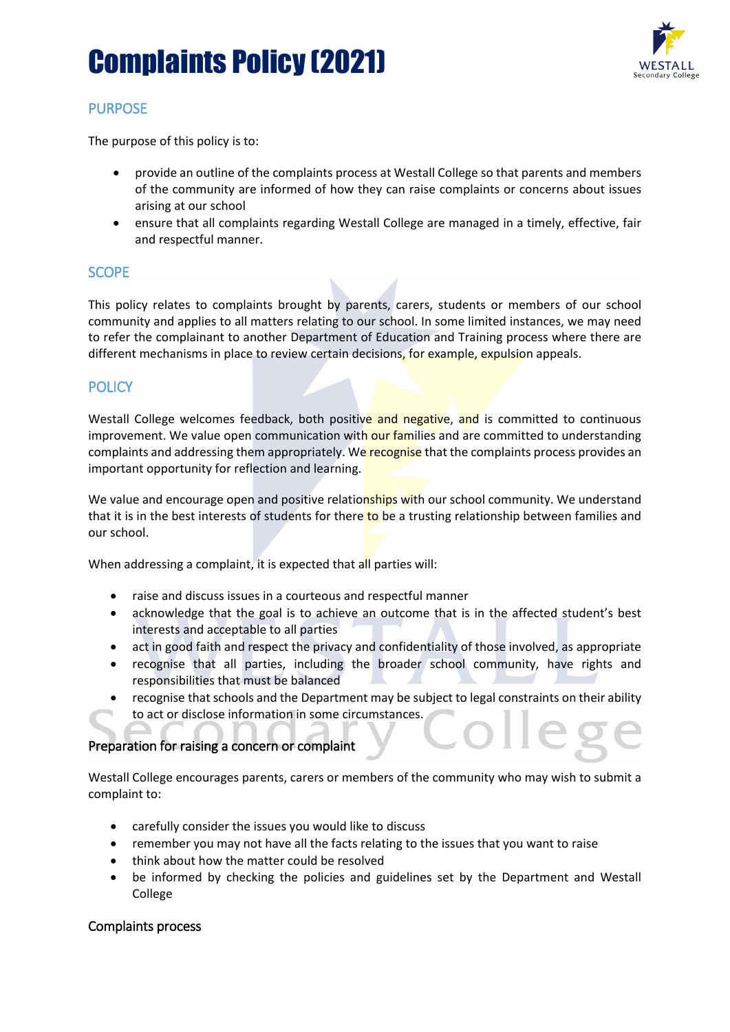# Complaints Policy (2021)



## PURPOSE

The purpose of this policy is to:

- provide an outline of the complaints process at Westall College so that parents and members of the community are informed of how they can raise complaints or concerns about issues arising at our school
- ensure that all complaints regarding Westall College are managed in a timely, effective, fair and respectful manner.

## **SCOPE**

This policy relates to complaints brought by parents, carers, students or members of our school community and applies to all matters relating to our school. In some limited instances, we may need to refer the complainant to another Department of Education and Training process where there are different mechanisms in place to review certain decisions, for example, expulsion appeals.

## **POLICY**

Westall College welcomes feedback, both positive and negative, and is committed to continuous improvement. We value open communication with our families and are committed to understanding complaints and addressing them appropriately. We recognise that the complaints process provides an important opportunity for reflection and learning.

We value and encourage open and positive relationships with our school community. We understand that it is in the best interests of students for there to be a trusting relationship between families and our school.

When addressing a complaint, it is expected that all parties will:

- raise and discuss issues in a courteous and respectful manner
- acknowledge that the goal is to achieve an outcome that is in the affected student's best interests and acceptable to all parties
- act in good faith and respect the privacy and confidentiality of those involved, as appropriate
- recognise that all parties, including the broader school community, have rights and responsibilities that must be balanced
- recognise that schools and the Department may be subject to legal constraints on their ability to act or disclose information in some circumstances.

## Preparation for raising a concern or complaint

Westall College encourages parents, carers or members of the community who may wish to submit a complaint to:

- carefully consider the issues you would like to discuss
- remember you may not have all the facts relating to the issues that you want to raise
- think about how the matter could be resolved
- be informed by checking the policies and guidelines set by the Department and Westall College

#### Complaints process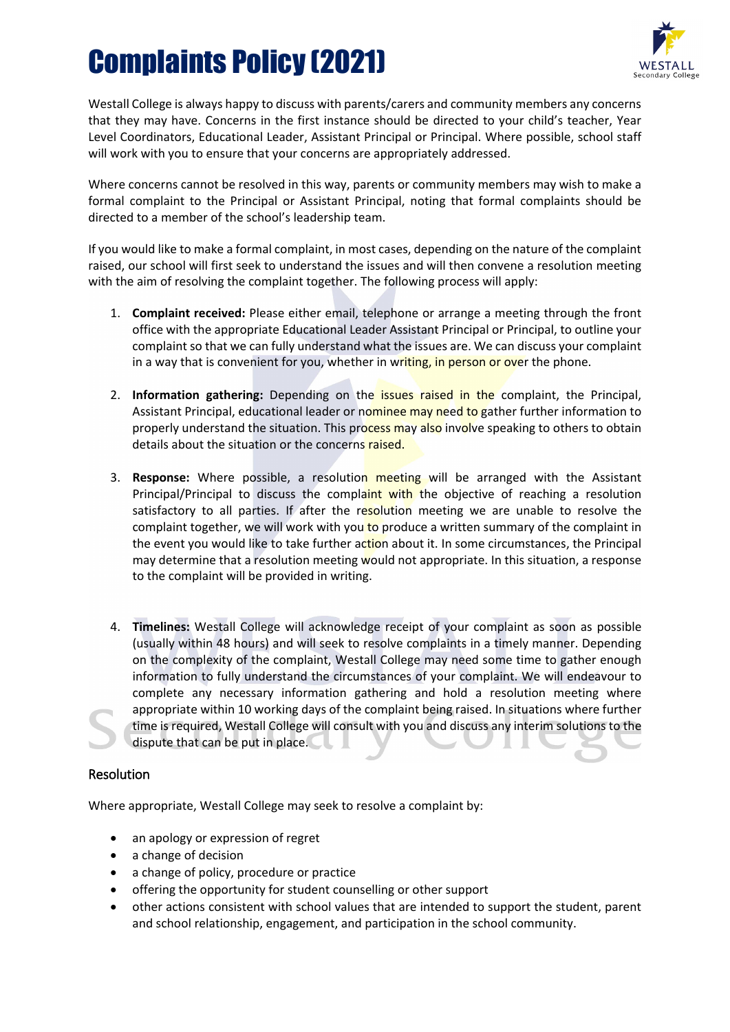# Complaints Policy (2021)



Westall College is always happy to discuss with parents/carers and community members any concerns that they may have. Concerns in the first instance should be directed to your child's teacher, Year Level Coordinators, Educational Leader, Assistant Principal or Principal. Where possible, school staff will work with you to ensure that your concerns are appropriately addressed.

Where concerns cannot be resolved in this way, parents or community members may wish to make a formal complaint to the Principal or Assistant Principal, noting that formal complaints should be directed to a member of the school's leadership team.

If you would like to make a formal complaint, in most cases, depending on the nature of the complaint raised, our school will first seek to understand the issues and will then convene a resolution meeting with the aim of resolving the complaint together. The following process will apply:

- 1. **Complaint received:** Please either email, telephone or arrange a meeting through the front office with the appropriate Educational Leader Assistant Principal or Principal, to outline your complaint so that we can fully understand what the issues are. We can discuss your complaint in a way that is convenient for you, whether in writing, in person or over the phone.
- 2. **Information gathering:** Depending on the issues raised in the complaint, the Principal, Assistant Principal, educational leader or nominee may need to gather further information to properly understand the situation. This process may also involve speaking to others to obtain details about the situation or the concerns raised.
- 3. **Response:** Where possible, a resolution meeting will be arranged with the Assistant Principal/Principal to discuss the complaint with the objective of reaching a resolution satisfactory to all parties. If after the resolution meeting we are unable to resolve the complaint together, we will work with you to produce a written summary of the complaint in the event you would like to take further action about it. In some circumstances, the Principal may determine that a resolution meeting would not appropriate. In this situation, a response to the complaint will be provided in writing.
- 4. **Timelines:** Westall College will acknowledge receipt of your complaint as soon as possible (usually within 48 hours) and will seek to resolve complaints in a timely manner. Depending on the complexity of the complaint, Westall College may need some time to gather enough information to fully understand the circumstances of your complaint. We will endeavour to complete any necessary information gathering and hold a resolution meeting where appropriate within 10 working days of the complaint being raised. In situations where further time is required, Westall College will consult with you and discuss any interim solutions to the dispute that can be put in place.

## Resolution

Where appropriate, Westall College may seek to resolve a complaint by:

- an apology or expression of regret
- a change of decision
- a change of policy, procedure or practice
- offering the opportunity for student counselling or other support
- other actions consistent with school values that are intended to support the student, parent and school relationship, engagement, and participation in the school community.